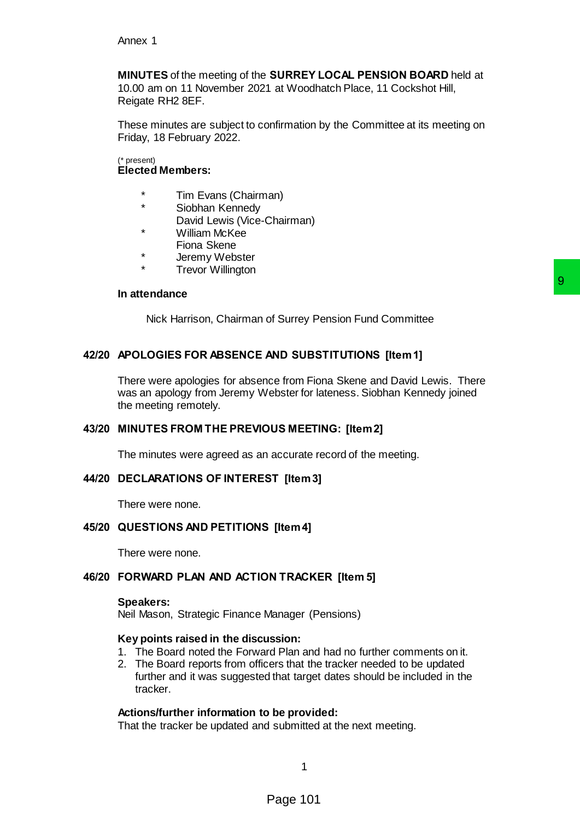**MINUTES** of the meeting of the **SURREY LOCAL PENSION BOARD** held at 10.00 am on 11 November 2021 at Woodhatch Place, 11 Cockshot Hill, Reigate RH2 8EF.

These minutes are subject to confirmation by the Committee at its meeting on Friday, 18 February 2022.

#### (\* present) **Elected Members:**

- \* Tim Evans (Chairman)
- Siobhan Kennedv
- David Lewis (Vice-Chairman)
- \* William McKee
	- Fiona Skene
- \* Jeremy Webster
- **Trevor Willington**

#### **In attendance**

Nick Harrison, Chairman of Surrey Pension Fund Committee

# **42/20 APOLOGIES FOR ABSENCE AND SUBSTITUTIONS [Item 1]**

There were apologies for absence from Fiona Skene and David Lewis. There was an apology from Jeremy Webster for lateness. Siobhan Kennedy joined the meeting remotely. 9<br>
of Surrey Pension Fund Committee<br>
AND SUBSTITUTIONS [Item 1]<br>
tice from Fiona Skene and David Lewis. There<br>
ebster for lateness. Siobhan Kennedy joined<br>
DUS MEETING: [Item 2]<br>
accurate record of the meeting.<br>
FI [Item 3

# **43/20 MINUTES FROM THE PREVIOUS MEETING: [Item 2]**

The minutes were agreed as an accurate record of the meeting.

#### **44/20 DECLARATIONS OF INTEREST [Item 3]**

There were none.

#### **45/20 QUESTIONS AND PETITIONS [Item 4]**

There were none.

# **46/20 FORWARD PLAN AND ACTION TRACKER [Item 5]**

#### **Speakers:**

Neil Mason, Strategic Finance Manager (Pensions)

#### **Key points raised in the discussion:**

- 1. The Board noted the Forward Plan and had no further comments on it.
- 2. The Board reports from officers that the tracker needed to be updated further and it was suggested that target dates should be included in the tracker.

#### **Actions/further information to be provided:**

That the tracker be updated and submitted at the next meeting.

1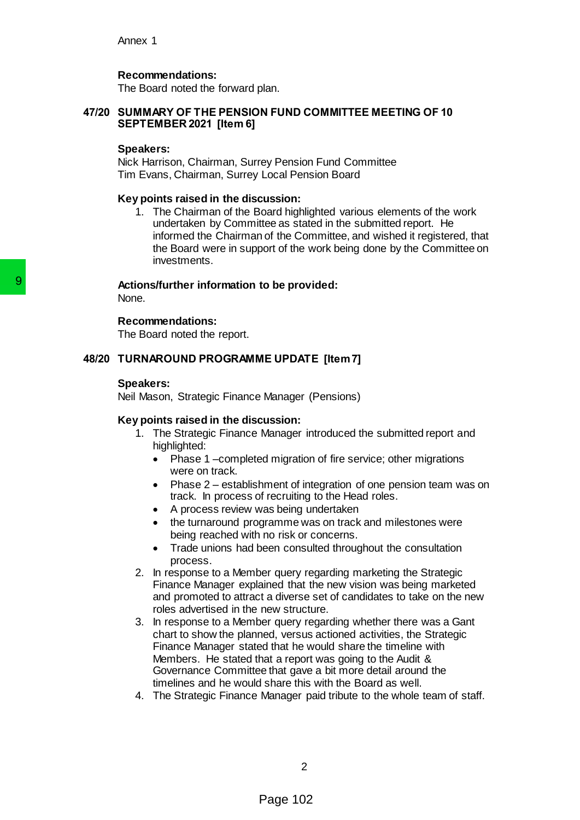Annex 1

# **Recommendations:**

The Board noted the forward plan.

## **47/20 SUMMARY OF THE PENSION FUND COMMITTEE MEETING OF 10 SEPTEMBER 2021 [Item 6]**

#### **Speakers:**

Nick Harrison, Chairman, Surrey Pension Fund Committee Tim Evans, Chairman, Surrey Local Pension Board

#### **Key points raised in the discussion:**

1. The Chairman of the Board highlighted various elements of the work undertaken by Committee as stated in the submitted report. He informed the Chairman of the Committee, and wished it registered, that the Board were in support of the work being done by the Committee on investments.

#### **Actions/further information to be provided:**

None.

#### **Recommendations:**

The Board noted the report.

#### **48/20 TURNAROUND PROGRAMME UPDATE [Item 7]**

#### **Speakers:**

Neil Mason, Strategic Finance Manager (Pensions)

#### **Key points raised in the discussion:**

- 1. The Strategic Finance Manager introduced the submitted report and highlighted:
	- Phase 1 –completed migration of fire service; other migrations were on track.
	- Phase 2 establishment of integration of one pension team was on track. In process of recruiting to the Head roles.
	- A process review was being undertaken
	- the turnaround programme was on track and milestones were being reached with no risk or concerns.
	- Trade unions had been consulted throughout the consultation process.
- 2. In response to a Member query regarding marketing the Strategic Finance Manager explained that the new vision was being marketed and promoted to attract a diverse set of candidates to take on the new roles advertised in the new structure.
- 3. In response to a Member query regarding whether there was a Gant chart to show the planned, versus actioned activities, the Strategic Finance Manager stated that he would share the timeline with Members. He stated that a report was going to the Audit & Governance Committee that gave a bit more detail around the timelines and he would share this with the Board as well. **Solutions/further information to be provided**<br>
Recommendations:<br>
The Board noted the report.<br> **4820 TURNAROUND PROGRAMME UPDATI**<br> **Speakers:**<br> **Paid Mason, Strategic Finance Manager (Key points raised in the discussion:**<br>
	- 4. The Strategic Finance Manager paid tribute to the whole team of staff.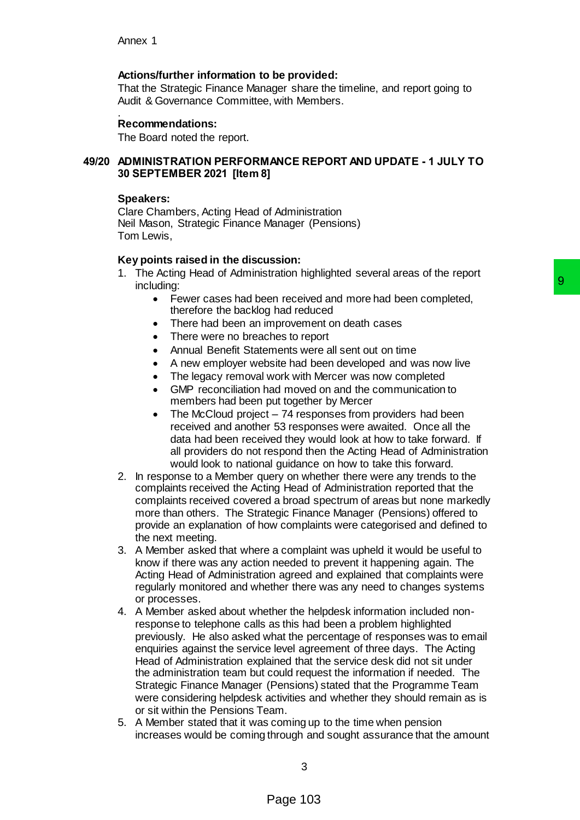## **Actions/further information to be provided:**

That the Strategic Finance Manager share the timeline, and report going to Audit & Governance Committee, with Members.

#### . **Recommendations:**

The Board noted the report.

## **49/20 ADMINISTRATION PERFORMANCE REPORT AND UPDATE - 1 JULY TO 30 SEPTEMBER 2021 [Item 8]**

#### **Speakers:**

Clare Chambers, Acting Head of Administration Neil Mason, Strategic Finance Manager (Pensions) Tom Lewis,

#### **Key points raised in the discussion:**

- 1. The Acting Head of Administration highlighted several areas of the report including:
	- Fewer cases had been received and more had been completed, therefore the backlog had reduced
	- There had been an improvement on death cases
	- There were no breaches to report
	- Annual Benefit Statements were all sent out on time
	- A new employer website had been developed and was now live
	- The legacy removal work with Mercer was now completed
	- GMP reconciliation had moved on and the communication to members had been put together by Mercer
	- The McCloud project 74 responses from providers had been received and another 53 responses were awaited. Once all the data had been received they would look at how to take forward. If all providers do not respond then the Acting Head of Administration would look to national guidance on how to take this forward.
- 2. In response to a Member query on whether there were any trends to the complaints received the Acting Head of Administration reported that the complaints received covered a broad spectrum of areas but none markedly more than others. The Strategic Finance Manager (Pensions) offered to provide an explanation of how complaints were categorised and defined to the next meeting.
- 3. A Member asked that where a complaint was upheld it would be useful to know if there was any action needed to prevent it happening again. The Acting Head of Administration agreed and explained that complaints were regularly monitored and whether there was any need to changes systems or processes.
- 4. A Member asked about whether the helpdesk information included nonresponse to telephone calls as this had been a problem highlighted previously. He also asked what the percentage of responses was to email enquiries against the service level agreement of three days. The Acting Head of Administration explained that the service desk did not sit under the administration team but could request the information if needed. The Strategic Finance Manager (Pensions) stated that the Programme Team were considering helpdesk activities and whether they should remain as is or sit within the Pensions Team. examples are the off and the method of the method of the space of the space of the space of the space of the space of the shot with Mercer was now the shot when the shot with Mercer was now completed and moved on an differ
- 5. A Member stated that it was coming up to the time when pension increases would be coming through and sought assurance that the amount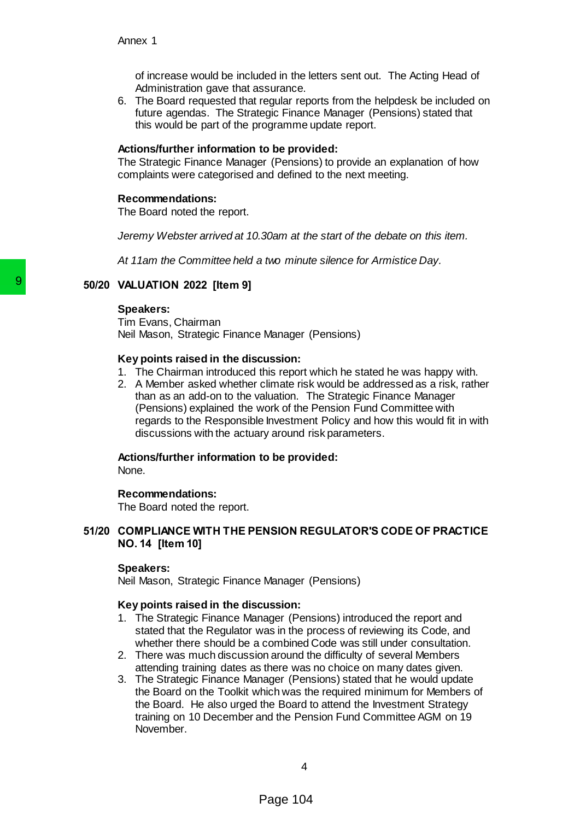of increase would be included in the letters sent out. The Acting Head of Administration gave that assurance.

6. The Board requested that regular reports from the helpdesk be included on future agendas. The Strategic Finance Manager (Pensions) stated that this would be part of the programme update report.

#### **Actions/further information to be provided:**

The Strategic Finance Manager (Pensions) to provide an explanation of how complaints were categorised and defined to the next meeting.

#### **Recommendations:**

The Board noted the report.

*Jeremy Webster arrived at 10.30am at the start of the debate on this item.*

*At 11am the Committee held a two minute silence for Armistice Day.*

# **50/20 VALUATION 2022 [Item 9]**

#### **Speakers:**

Tim Evans, Chairman Neil Mason, Strategic Finance Manager (Pensions)

## **Key points raised in the discussion:**

- 1. The Chairman introduced this report which he stated he was happy with.
- 2. A Member asked whether climate risk would be addressed as a risk, rather than as an add-on to the valuation. The Strategic Finance Manager (Pensions) explained the work of the Pension Fund Committee with regards to the Responsible Investment Policy and how this would fit in with discussions with the actuary around risk parameters.

# **Actions/further information to be provided:**

None.

# **Recommendations:**

The Board noted the report.

# **51/20 COMPLIANCE WITH THE PENSION REGULATOR'S CODE OF PRACTICE NO. 14 [Item 10]**

## **Speakers:**

Neil Mason, Strategic Finance Manager (Pensions)

## **Key points raised in the discussion:**

- 1. The Strategic Finance Manager (Pensions) introduced the report and stated that the Regulator was in the process of reviewing its Code, and whether there should be a combined Code was still under consultation.
- 2. There was much discussion around the difficulty of several Members attending training dates as there was no choice on many dates given.
- 3. The Strategic Finance Manager (Pensions) stated that he would update the Board on the Toolkit which was the required minimum for Members of the Board. He also urged the Board to attend the Investment Strategy training on 10 December and the Pension Fund Committee AGM on 19 November. **Solution** 2022 [Item 9]<br>
Speakers:<br>
Tim Evans, Chairman<br>
Tell Mason, Strategic Finance Manager (Ney points raised in the discussion:<br>
1. The Chairman introduced this report 2.<br>
A Member asked wheter climate risk<br>
than as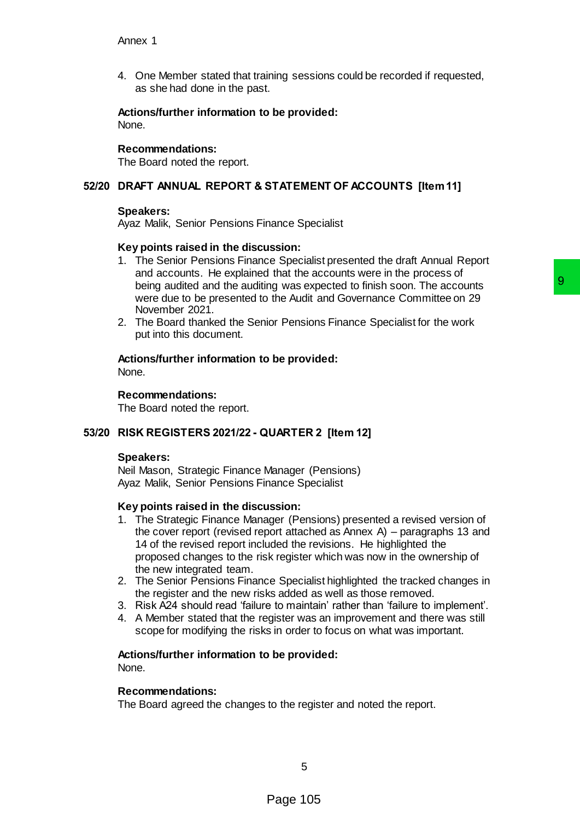4. One Member stated that training sessions could be recorded if requested, as she had done in the past.

**Actions/further information to be provided:** None.

## **Recommendations:**

The Board noted the report.

# **52/20 DRAFT ANNUAL REPORT & STATEMENT OF ACCOUNTS [Item 11]**

## **Speakers:**

Ayaz Malik, Senior Pensions Finance Specialist

## **Key points raised in the discussion:**

- 1. The Senior Pensions Finance Specialist presented the draft Annual Report and accounts. He explained that the accounts were in the process of being audited and the auditing was expected to finish soon. The accounts were due to be presented to the Audit and Governance Committee on 29 November 2021.
- 2. The Board thanked the Senior Pensions Finance Specialist for the work put into this document.

# **Actions/further information to be provided:**

None.

## **Recommendations:**

The Board noted the report.

# **53/20 RISK REGISTERS 2021/22 - QUARTER 2 [Item 12]**

#### **Speakers:**

Neil Mason, Strategic Finance Manager (Pensions) Ayaz Malik, Senior Pensions Finance Specialist

#### **Key points raised in the discussion:**

- 1. The Strategic Finance Manager (Pensions) presented a revised version of the cover report (revised report attached as Annex A) – paragraphs 13 and 14 of the revised report included the revisions. He highlighted the proposed changes to the risk register which was now in the ownership of the new integrated team. Incurance and Control of the method of the respected to finish soon. The accounts<br>the Audit and Governance Committee on 29<br>tior Pensions Finance Specialist for the work<br>be provided:<br>Depreciation:<br>Depreciation:<br>Specialist<br>S
- 2. The Senior Pensions Finance Specialist highlighted the tracked changes in the register and the new risks added as well as those removed.
- 3. Risk A24 should read 'failure to maintain' rather than 'failure to implement'.
- 4. A Member stated that the register was an improvement and there was still scope for modifying the risks in order to focus on what was important.

# **Actions/further information to be provided:**

None.

#### **Recommendations:**

The Board agreed the changes to the register and noted the report.